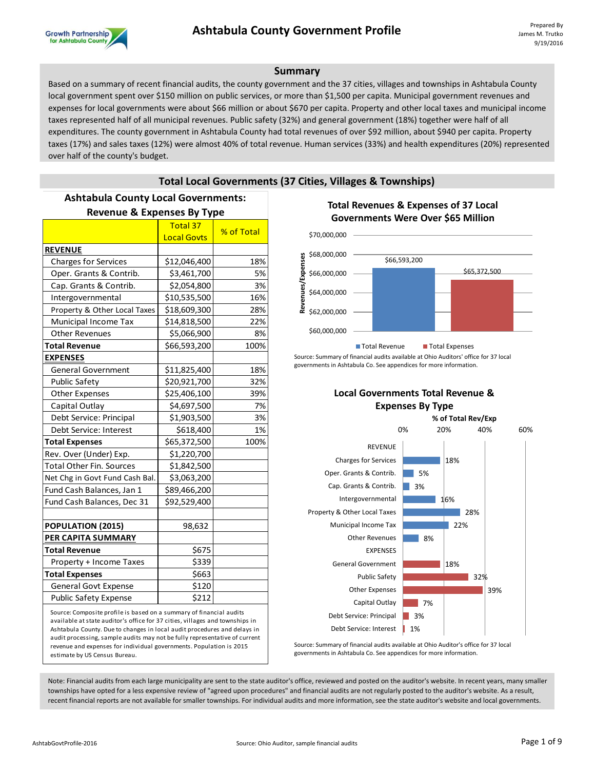

### **Summary**

Based on a summary of recent financial audits, the county government and the 37 cities, villages and townships in Ashtabula County local government spent over \$150 million on public services, or more than \$1,500 per capita. Municipal government revenues and expenses for local governments were about \$66 million or about \$670 per capita. Property and other local taxes and municipal income taxes represented half of all municipal revenues. Public safety (32%) and general government (18%) together were half of all expenditures. The county government in Ashtabula County had total revenues of over \$92 million, about \$940 per capita. Property taxes (17%) and sales taxes (12%) were almost 40% of total revenue. Human services (33%) and health expenditures (20%) represented over half of the county's budget.

# **Total Local Governments (37 Cities, Villages & Townships)**

# **Ashtabula County Local Governments:**

| <b>Revenue &amp; Expenses By Type</b>                               |                    |            |  |  |  |  |
|---------------------------------------------------------------------|--------------------|------------|--|--|--|--|
|                                                                     | <b>Total 37</b>    | % of Total |  |  |  |  |
|                                                                     | <b>Local Govts</b> |            |  |  |  |  |
| <b>REVENUE</b>                                                      |                    |            |  |  |  |  |
| <b>Charges for Services</b>                                         | \$12,046,400       | 18%        |  |  |  |  |
| Oper. Grants & Contrib.                                             | \$3,461,700        | 5%         |  |  |  |  |
| Cap. Grants & Contrib.                                              | \$2,054,800        | 3%         |  |  |  |  |
| Intergovernmental                                                   | \$10,535,500       | 16%        |  |  |  |  |
| Property & Other Local Taxes                                        | \$18,609,300       | 28%        |  |  |  |  |
| Municipal Income Tax                                                | \$14,818,500       | 22%        |  |  |  |  |
| <b>Other Revenues</b>                                               | \$5,066,900        | 8%         |  |  |  |  |
| <b>Total Revenue</b>                                                | \$66,593,200       | 100%       |  |  |  |  |
| <b>EXPENSES</b>                                                     |                    |            |  |  |  |  |
| <b>General Government</b>                                           | \$11,825,400       | 18%        |  |  |  |  |
| Public Safety                                                       | \$20,921,700       | 32%        |  |  |  |  |
| <b>Other Expenses</b>                                               | \$25,406,100       | 39%        |  |  |  |  |
| Capital Outlay                                                      | \$4,697,500        | 7%         |  |  |  |  |
| Debt Service: Principal                                             | \$1,903,500        | 3%         |  |  |  |  |
| Debt Service: Interest                                              | \$618,400          | 1%         |  |  |  |  |
| <b>Total Expenses</b>                                               | \$65,372,500       | 100%       |  |  |  |  |
| Rev. Over (Under) Exp.                                              | \$1,220,700        |            |  |  |  |  |
| <b>Total Other Fin. Sources</b>                                     | \$1,842,500        |            |  |  |  |  |
| Net Chg in Govt Fund Cash Bal.                                      | \$3,063,200        |            |  |  |  |  |
| Fund Cash Balances, Jan 1                                           | \$89,466,200       |            |  |  |  |  |
| Fund Cash Balances, Dec 31                                          | \$92,529,400       |            |  |  |  |  |
|                                                                     |                    |            |  |  |  |  |
| POPULATION (2015)                                                   | 98,632             |            |  |  |  |  |
| PER CAPITA SUMMARY                                                  |                    |            |  |  |  |  |
| <b>Total Revenue</b>                                                | \$675              |            |  |  |  |  |
| Property + Income Taxes                                             | \$339              |            |  |  |  |  |
| <b>Total Expenses</b>                                               | \$663              |            |  |  |  |  |
| <b>General Govt Expense</b>                                         | \$120              |            |  |  |  |  |
| Public Safety Expense                                               | \$212              |            |  |  |  |  |
| Source: Composite profile is based on a summary of financial audits |                    |            |  |  |  |  |

Source: Composite profile is based on a summary of financial audits available at state auditor's office for 37 cities, villages and townships in Ashtabula County. Due to changes in local audit procedures and delays in audit processing, sample audits may not be fully representative of current revenue and expenses for individual governments. Population is 2015 estimate by US Census Bureau.

## **Total Revenues & Expenses of 37 Local Governments Were Over \$65 Million**



Source: Summary of financial audits available at Ohio Auditors' office for 37 local governments in Ashtabula Co. See appendices for more information.

**Local Governments Total Revenue &** 



Source: Summary of financial audits available at Ohio Auditor's office for 37 local governments in Ashtabula Co. See appendices for more information.

Note: Financial audits from each large municipality are sent to the state auditor's office, reviewed and posted on the auditor's website. In recent years, many smaller townships have opted for a less expensive review of "agreed upon procedures" and financial audits are not regularly posted to the auditor's website. As a result, recent financial reports are not available for smaller townships. For individual audits and more information, see the state auditor's website and local governments.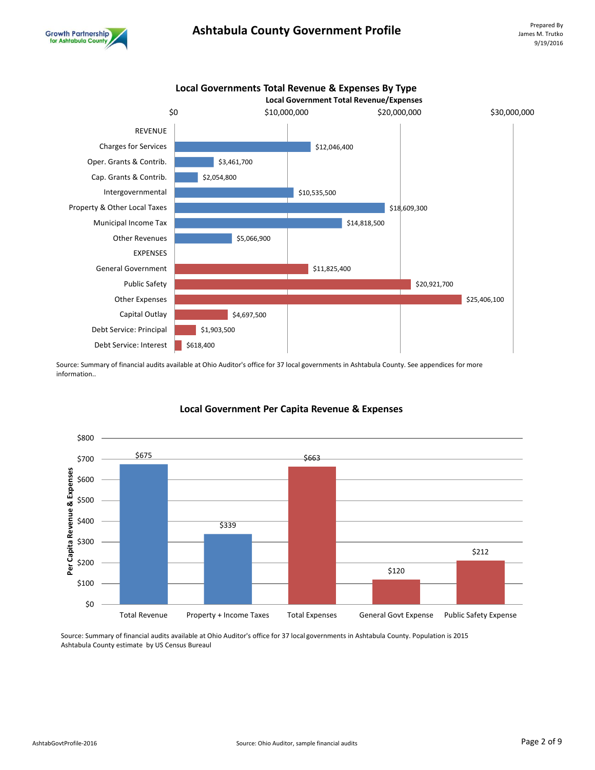



Source: Summary of financial audits available at Ohio Auditor's office for 37 local governments in Ashtabula County. See appendices for more information..



# **Local Government Per Capita Revenue & Expenses**

Source: Summary of financial audits available at Ohio Auditor's office for 37 local governments in Ashtabula County. Population is 2015 Ashtabula County estimate by US Census Bureaul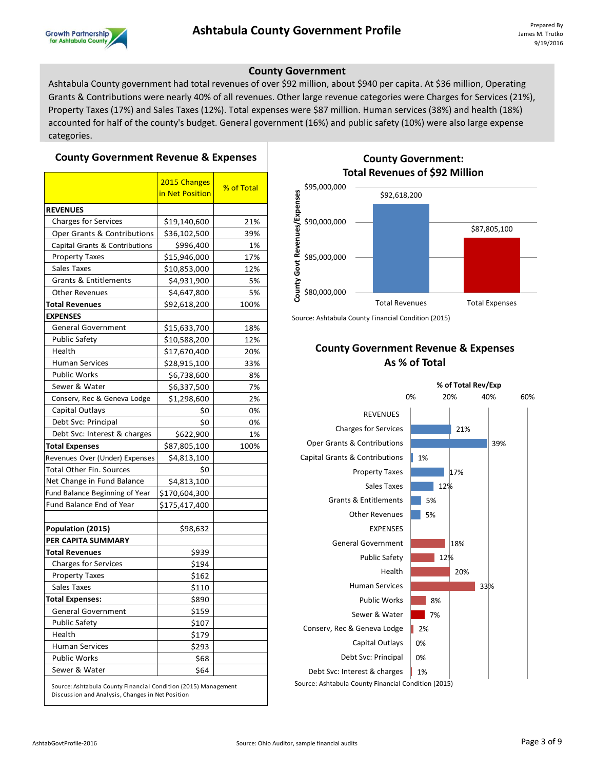

# **County Government**

Ashtabula County government had total revenues of over \$92 million, about \$940 per capita. At \$36 million, Operating Grants & Contributions were nearly 40% of all revenues. Other large revenue categories were Charges for Services (21%), Property Taxes (17%) and Sales Taxes (12%). Total expenses were \$87 million. Human services (38%) and health (18%) accounted for half of the county's budget. General government (16%) and public safety (10%) were also large expense categories.

#### **County Government Revenue & Expenses**

|                                                                | 2015 Changes<br>in Net Position | % of Total |  |  |  |  |  |
|----------------------------------------------------------------|---------------------------------|------------|--|--|--|--|--|
| <b>REVENUES</b>                                                |                                 |            |  |  |  |  |  |
| <b>Charges for Services</b>                                    | \$19,140,600                    | 21%        |  |  |  |  |  |
| Oper Grants & Contributions                                    | \$36,102,500                    | 39%        |  |  |  |  |  |
| Capital Grants & Contributions                                 | \$996,400                       | 1%         |  |  |  |  |  |
| <b>Property Taxes</b>                                          | \$15,946,000                    | 17%        |  |  |  |  |  |
| Sales Taxes                                                    | \$10,853,000                    | 12%        |  |  |  |  |  |
| <b>Grants &amp; Entitlements</b>                               | \$4,931,900                     | 5%         |  |  |  |  |  |
| <b>Other Revenues</b>                                          | \$4,647,800                     | 5%         |  |  |  |  |  |
| <b>Total Revenues</b>                                          | \$92,618,200                    | 100%       |  |  |  |  |  |
| <b>EXPENSES</b>                                                |                                 |            |  |  |  |  |  |
| <b>General Government</b>                                      | \$15,633,700                    | 18%        |  |  |  |  |  |
| <b>Public Safety</b>                                           | \$10,588,200                    | 12%        |  |  |  |  |  |
| Health                                                         | \$17,670,400                    | 20%        |  |  |  |  |  |
| <b>Human Services</b>                                          | \$28,915,100                    | 33%        |  |  |  |  |  |
| <b>Public Works</b>                                            | \$6,738,600                     | 8%         |  |  |  |  |  |
| Sewer & Water                                                  | \$6,337,500                     | 7%         |  |  |  |  |  |
| Conserv, Rec & Geneva Lodge                                    | \$1,298,600                     | 2%         |  |  |  |  |  |
| Capital Outlays                                                | Ş0                              | 0%         |  |  |  |  |  |
| Debt Svc: Principal                                            | \$0                             | 0%         |  |  |  |  |  |
| Debt Svc: Interest & charges                                   | \$622,900                       | 1%         |  |  |  |  |  |
| <b>Total Expenses</b>                                          | \$87,805,100                    | 100%       |  |  |  |  |  |
| Revenues Over (Under) Expenses                                 | \$4,813,100                     |            |  |  |  |  |  |
| Total Other Fin. Sources                                       | \$0                             |            |  |  |  |  |  |
| Net Change in Fund Balance                                     | \$4,813,100                     |            |  |  |  |  |  |
| Fund Balance Beginning of Year                                 | \$170,604,300                   |            |  |  |  |  |  |
| Fund Balance End of Year                                       | \$175,417,400                   |            |  |  |  |  |  |
| Population (2015)                                              | \$98,632                        |            |  |  |  |  |  |
| PER CAPITA SUMMARY                                             |                                 |            |  |  |  |  |  |
| <b>Total Revenues</b>                                          | \$939                           |            |  |  |  |  |  |
| <b>Charges for Services</b>                                    | \$194                           |            |  |  |  |  |  |
| <b>Property Taxes</b>                                          | \$162                           |            |  |  |  |  |  |
| Sales Taxes                                                    | \$110                           |            |  |  |  |  |  |
| <b>Total Expenses:</b>                                         | \$890                           |            |  |  |  |  |  |
| General Government                                             | \$159                           |            |  |  |  |  |  |
| Public Safety                                                  | \$107                           |            |  |  |  |  |  |
| Health                                                         | \$179                           |            |  |  |  |  |  |
| <b>Human Services</b>                                          | \$293                           |            |  |  |  |  |  |
| <b>Public Works</b>                                            | \$68                            |            |  |  |  |  |  |
| Sewer & Water                                                  | \$64                            |            |  |  |  |  |  |
| Source: Ashtabula County Financial Condition (2015) Management |                                 |            |  |  |  |  |  |

# **County Government: Total Revenues of \$92 Million**



Source: Ashtabula County Financial Condition (2015)

# **County Government Revenue & Expenses As % of Total**



Source: Ashtabula County Financial Condition (2015)

Discussion and Analysis, Changes in Net Position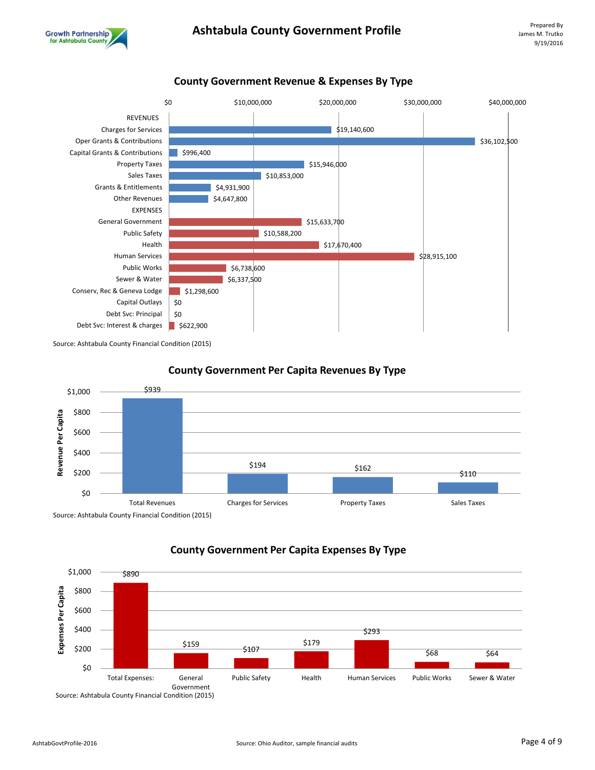



**County Government Revenue & Expenses By Type**

Source: Ashtabula County Financial Condition (2015)



### **County Government Per Capita Revenues By Type**



**County Government Per Capita Expenses By Type**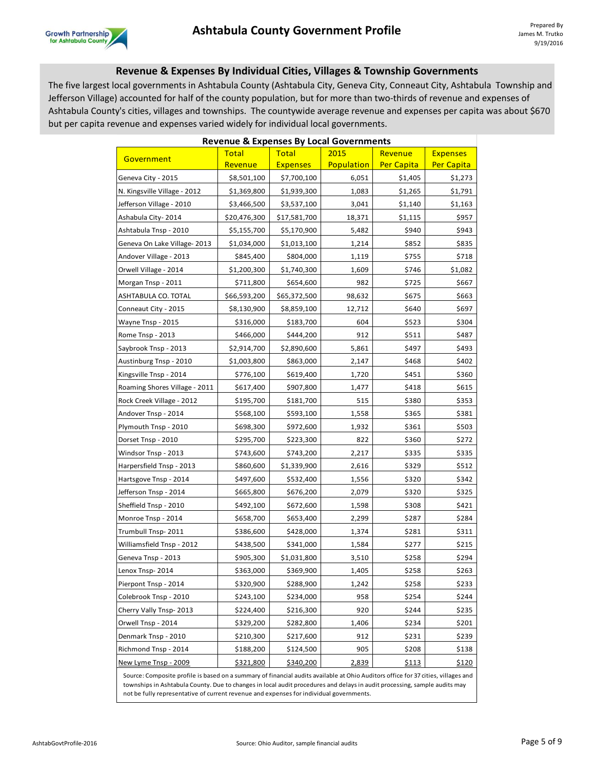

# **Revenue & Expenses By Individual Cities, Villages & Township Governments**

The five largest local governments in Ashtabula County (Ashtabula City, Geneva City, Conneaut City, Ashtabula Township and Jefferson Village) accounted for half of the county population, but for more than two-thirds of revenue and expenses of Ashtabula County's cities, villages and townships. The countywide average revenue and expenses per capita was about \$670 but per capita revenue and expenses varied widely for individual local governments.

| <b>Revenue &amp; Expenses By Local Governments</b>                                                                                                                                                                                                                                                                                                        |              |                 |            |                   |                 |  |  |  |
|-----------------------------------------------------------------------------------------------------------------------------------------------------------------------------------------------------------------------------------------------------------------------------------------------------------------------------------------------------------|--------------|-----------------|------------|-------------------|-----------------|--|--|--|
| Government                                                                                                                                                                                                                                                                                                                                                | <b>Total</b> | <b>Total</b>    | 2015       | Revenue           | <b>Expenses</b> |  |  |  |
|                                                                                                                                                                                                                                                                                                                                                           | Revenue      | <b>Expenses</b> | Population | <b>Per Capita</b> | Per Capita      |  |  |  |
| Geneva City - 2015                                                                                                                                                                                                                                                                                                                                        | \$8,501,100  | \$7,700,100     | 6,051      | \$1,405           | \$1,273         |  |  |  |
| N. Kingsville Village - 2012                                                                                                                                                                                                                                                                                                                              | \$1,369,800  | \$1,939,300     | 1,083      | \$1,265           | \$1,791         |  |  |  |
| Jefferson Village - 2010                                                                                                                                                                                                                                                                                                                                  | \$3,466,500  | \$3,537,100     | 3,041      | \$1,140           | \$1,163         |  |  |  |
| Ashabula City-2014                                                                                                                                                                                                                                                                                                                                        | \$20,476,300 | \$17,581,700    | 18,371     | \$1,115           | \$957           |  |  |  |
| Ashtabula Tnsp - 2010                                                                                                                                                                                                                                                                                                                                     | \$5,155,700  | \$5,170,900     | 5,482      | \$940             | \$943           |  |  |  |
| Geneva On Lake Village-2013                                                                                                                                                                                                                                                                                                                               | \$1,034,000  | \$1,013,100     | 1,214      | \$852             | \$835           |  |  |  |
| Andover Village - 2013                                                                                                                                                                                                                                                                                                                                    | \$845,400    | \$804,000       | 1,119      | \$755             | \$718           |  |  |  |
| Orwell Village - 2014                                                                                                                                                                                                                                                                                                                                     | \$1,200,300  | \$1,740,300     | 1,609      | \$746             | \$1,082         |  |  |  |
| Morgan Tnsp - 2011                                                                                                                                                                                                                                                                                                                                        | \$711,800    | \$654,600       | 982        | \$725             | \$667           |  |  |  |
| ASHTABULA CO. TOTAL                                                                                                                                                                                                                                                                                                                                       | \$66,593,200 | \$65,372,500    | 98,632     | \$675             | \$663           |  |  |  |
| Conneaut City - 2015                                                                                                                                                                                                                                                                                                                                      | \$8,130,900  | \$8,859,100     | 12,712     | \$640             | \$697           |  |  |  |
| Wayne Tnsp - 2015                                                                                                                                                                                                                                                                                                                                         | \$316,000    | \$183,700       | 604        | \$523             | \$304           |  |  |  |
| Rome Tnsp - 2013                                                                                                                                                                                                                                                                                                                                          | \$466,000    | \$444,200       | 912        | \$511             | \$487           |  |  |  |
| Saybrook Tnsp - 2013                                                                                                                                                                                                                                                                                                                                      | \$2,914,700  | \$2,890,600     | 5,861      | \$497             | \$493           |  |  |  |
| Austinburg Tnsp - 2010                                                                                                                                                                                                                                                                                                                                    | \$1,003,800  | \$863,000       | 2,147      | \$468             | \$402           |  |  |  |
| Kingsville Tnsp - 2014                                                                                                                                                                                                                                                                                                                                    | \$776,100    | \$619,400       | 1,720      | \$451             | \$360           |  |  |  |
| Roaming Shores Village - 2011                                                                                                                                                                                                                                                                                                                             | \$617,400    | \$907,800       | 1,477      | \$418             | \$615           |  |  |  |
| Rock Creek Village - 2012                                                                                                                                                                                                                                                                                                                                 | \$195,700    | \$181,700       | 515        | \$380             | \$353           |  |  |  |
| Andover Tnsp - 2014                                                                                                                                                                                                                                                                                                                                       | \$568,100    | \$593,100       | 1,558      | \$365             | \$381           |  |  |  |
| Plymouth Tnsp - 2010                                                                                                                                                                                                                                                                                                                                      | \$698,300    | \$972,600       | 1,932      | \$361             | \$503           |  |  |  |
| Dorset Tnsp - 2010                                                                                                                                                                                                                                                                                                                                        | \$295,700    | \$223,300       | 822        | \$360             | \$272           |  |  |  |
| Windsor Tnsp - 2013                                                                                                                                                                                                                                                                                                                                       | \$743,600    | \$743,200       | 2,217      | \$335             | \$335           |  |  |  |
| Harpersfield Tnsp - 2013                                                                                                                                                                                                                                                                                                                                  | \$860,600    | \$1,339,900     | 2,616      | \$329             | \$512           |  |  |  |
| Hartsgove Tnsp - 2014                                                                                                                                                                                                                                                                                                                                     | \$497,600    | \$532,400       | 1,556      | \$320             | \$342           |  |  |  |
| Jefferson Tnsp - 2014                                                                                                                                                                                                                                                                                                                                     | \$665,800    | \$676,200       | 2,079      | \$320             | \$325           |  |  |  |
| Sheffield Tnsp - 2010                                                                                                                                                                                                                                                                                                                                     | \$492,100    | \$672,600       | 1,598      | \$308             | \$421           |  |  |  |
| Monroe Tnsp - 2014                                                                                                                                                                                                                                                                                                                                        | \$658,700    | \$653,400       | 2,299      | \$287             | \$284           |  |  |  |
| Trumbull Tnsp-2011                                                                                                                                                                                                                                                                                                                                        | \$386,600    | \$428,000       | 1,374      | \$281             | \$311           |  |  |  |
| Williamsfield Tnsp - 2012                                                                                                                                                                                                                                                                                                                                 | \$438,500    | \$341,000       | 1,584      | \$277             | \$215           |  |  |  |
| Geneva Tnsp - 2013                                                                                                                                                                                                                                                                                                                                        | \$905,300    | \$1,031,800     | 3,510      | \$258             | \$294           |  |  |  |
| Lenox Tnsp-2014                                                                                                                                                                                                                                                                                                                                           | \$363,000    | \$369,900       | 1,405      | \$258             | \$263           |  |  |  |
| Pierpont Tnsp - 2014                                                                                                                                                                                                                                                                                                                                      | \$320,900    | \$288,900       | 1,242      | \$258             | \$233           |  |  |  |
| Colebrook Tnsp - 2010                                                                                                                                                                                                                                                                                                                                     | \$243,100    | \$234,000       | 958        | \$254             | \$244           |  |  |  |
| Cherry Vally Tnsp-2013                                                                                                                                                                                                                                                                                                                                    | \$224,400    | \$216,300       | 920        | \$244             | \$235           |  |  |  |
| Orwell Tnsp - 2014                                                                                                                                                                                                                                                                                                                                        | \$329,200    | \$282,800       | 1,406      | \$234             | \$201           |  |  |  |
| Denmark Tnsp - 2010                                                                                                                                                                                                                                                                                                                                       | \$210,300    | \$217,600       | 912        | \$231             | \$239           |  |  |  |
| Richmond Tnsp - 2014                                                                                                                                                                                                                                                                                                                                      | \$188,200    | \$124,500       | 905        | \$208             | \$138           |  |  |  |
| New Lyme Tnsp - 2009                                                                                                                                                                                                                                                                                                                                      | \$321,800    | \$340,200       | 2,839      | <u>\$113</u>      | <u>\$120</u>    |  |  |  |
| Source: Composite profile is based on a summary of financial audits available at Ohio Auditors office for 37 cities, villages and<br>townships in Ashtabula County. Due to changes in local audit procedures and delays in audit processing, sample audits may<br>not be fully representative of current revenue and expenses for individual governments. |              |                 |            |                   |                 |  |  |  |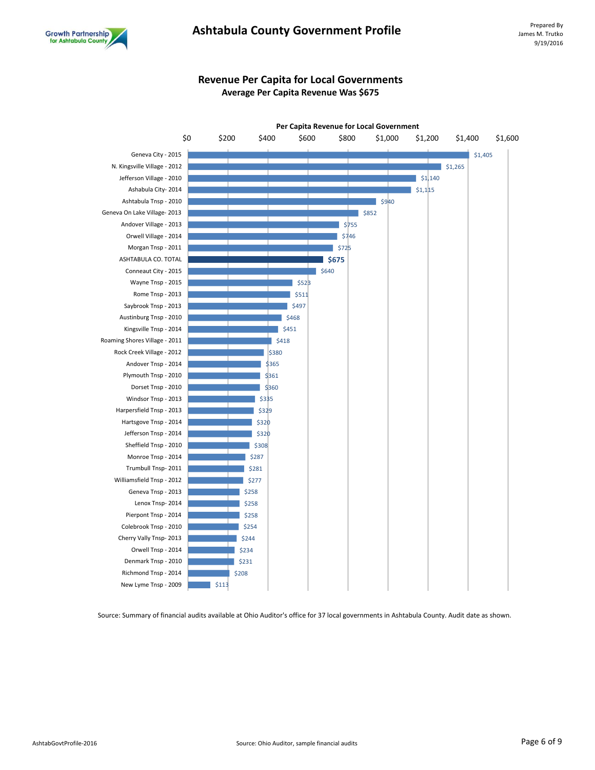

# Ashtabula County Government Profile **Profilm Ashtabula** Prepared By

# **Revenue Per Capita for Local Governments Average Per Capita Revenue Was \$675**



Source: Summary of financial audits available at Ohio Auditor's office for 37 local governments in Ashtabula County. Audit date as shown.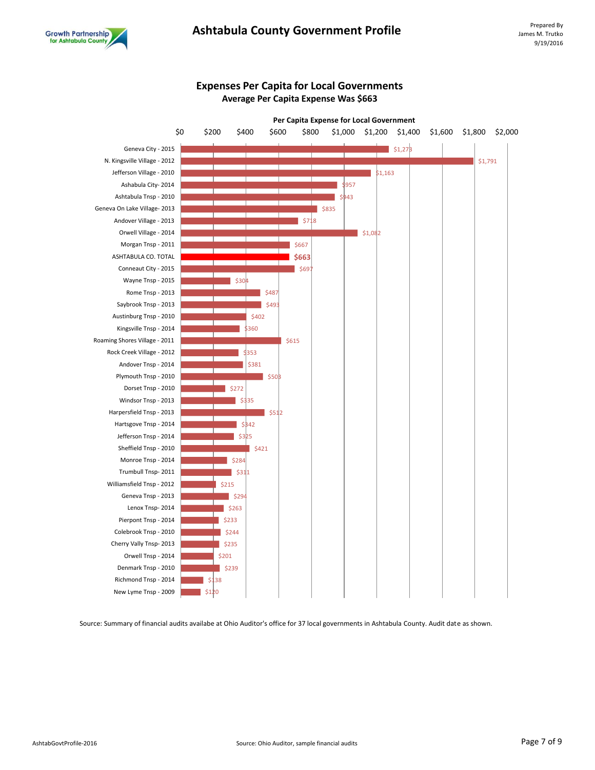

# **Expenses Per Capita for Local Governments Average Per Capita Expense Was \$663**



Source: Summary of financial audits availabe at Ohio Auditor's office for 37 local governments in Ashtabula County. Audit date as shown.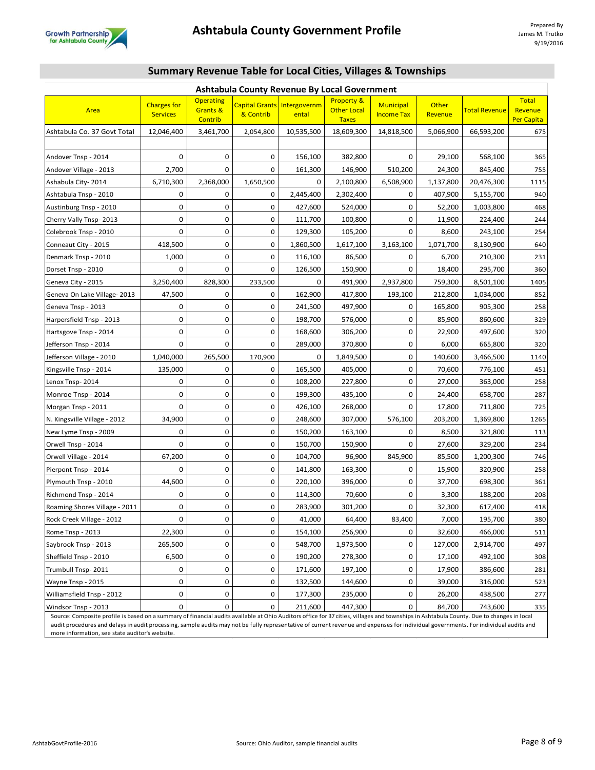

|  | <b>Summary Revenue Table for Local Cities, Villages &amp; Townships</b> |  |
|--|-------------------------------------------------------------------------|--|
|--|-------------------------------------------------------------------------|--|

| Ashtabula County Revenue By Local Government                                                                                                                                                                               |                                       |                                         |           |                                             |                                                             |                                       |                  |                      |                                       |
|----------------------------------------------------------------------------------------------------------------------------------------------------------------------------------------------------------------------------|---------------------------------------|-----------------------------------------|-----------|---------------------------------------------|-------------------------------------------------------------|---------------------------------------|------------------|----------------------|---------------------------------------|
| Area                                                                                                                                                                                                                       | <b>Charges for</b><br><b>Services</b> | <b>Operating</b><br>Grants &<br>Contrib | & Contrib | <b>Capital Grants</b> Intergovernm<br>ental | <b>Property &amp;</b><br><b>Other Local</b><br><b>Taxes</b> | <b>Municipal</b><br><b>Income Tax</b> | Other<br>Revenue | <b>Total Revenue</b> | <b>Total</b><br>Revenue<br>Per Capita |
| Ashtabula Co. 37 Govt Total                                                                                                                                                                                                | 12,046,400                            | 3,461,700                               | 2,054,800 | 10,535,500                                  | 18,609,300                                                  | 14,818,500                            | 5,066,900        | 66,593,200           | 675                                   |
|                                                                                                                                                                                                                            |                                       |                                         |           |                                             |                                                             |                                       |                  |                      |                                       |
| Andover Tnsp - 2014                                                                                                                                                                                                        | 0                                     | 0                                       | 0         | 156,100                                     | 382,800                                                     | 0                                     | 29,100           | 568,100              | 365                                   |
| Andover Village - 2013                                                                                                                                                                                                     | 2,700                                 | 0                                       | 0         | 161,300                                     | 146,900                                                     | 510,200                               | 24,300           | 845,400              | 755                                   |
| Ashabula City-2014                                                                                                                                                                                                         | 6,710,300                             | 2,368,000                               | 1,650,500 | 0                                           | 2,100,800                                                   | 6,508,900                             | 1,137,800        | 20,476,300           | 1115                                  |
| Ashtabula Tnsp - 2010                                                                                                                                                                                                      | 0                                     | 0                                       | 0         | 2,445,400                                   | 2,302,400                                                   | 0                                     | 407,900          | 5,155,700            | 940                                   |
| Austinburg Tnsp - 2010                                                                                                                                                                                                     | 0                                     | 0                                       | 0         | 427,600                                     | 524,000                                                     | 0                                     | 52,200           | 1,003,800            | 468                                   |
| Cherry Vally Tnsp-2013                                                                                                                                                                                                     | 0                                     | 0                                       | 0         | 111,700                                     | 100,800                                                     | 0                                     | 11,900           | 224,400              | 244                                   |
| Colebrook Tnsp - 2010                                                                                                                                                                                                      | 0                                     | 0                                       | 0         | 129,300                                     | 105,200                                                     | 0                                     | 8,600            | 243,100              | 254                                   |
| Conneaut City - 2015                                                                                                                                                                                                       | 418,500                               | 0                                       | 0         | 1,860,500                                   | 1,617,100                                                   | 3,163,100                             | 1,071,700        | 8,130,900            | 640                                   |
| Denmark Tnsp - 2010                                                                                                                                                                                                        | 1,000                                 | 0                                       | 0         | 116,100                                     | 86,500                                                      | 0                                     | 6,700            | 210,300              | 231                                   |
| Dorset Tnsp - 2010                                                                                                                                                                                                         | $\Omega$                              | 0                                       | 0         | 126,500                                     | 150,900                                                     | 0                                     | 18,400           | 295,700              | 360                                   |
| Geneva City - 2015                                                                                                                                                                                                         | 3,250,400                             | 828,300                                 | 233,500   | 0                                           | 491,900                                                     | 2,937,800                             | 759,300          | 8,501,100            | 1405                                  |
| Geneva On Lake Village-2013                                                                                                                                                                                                | 47,500                                | 0                                       | 0         | 162,900                                     | 417,800                                                     | 193,100                               | 212,800          | 1,034,000            | 852                                   |
| Geneva Tnsp - 2013                                                                                                                                                                                                         | 0                                     | 0                                       | 0         | 241,500                                     | 497,900                                                     | 0                                     | 165,800          | 905,300              | 258                                   |
| Harpersfield Tnsp - 2013                                                                                                                                                                                                   | 0                                     | 0                                       | 0         | 198,700                                     | 576,000                                                     | 0                                     | 85,900           | 860,600              | 329                                   |
| Hartsgove Tnsp - 2014                                                                                                                                                                                                      | 0                                     | 0                                       | 0         | 168,600                                     | 306,200                                                     | 0                                     | 22,900           | 497,600              | 320                                   |
| Jefferson Tnsp - 2014                                                                                                                                                                                                      | 0                                     | 0                                       | 0         | 289,000                                     | 370,800                                                     | 0                                     | 6,000            | 665,800              | 320                                   |
| Jefferson Village - 2010                                                                                                                                                                                                   | 1,040,000                             | 265,500                                 | 170,900   | 0                                           | 1,849,500                                                   | 0                                     | 140,600          | 3,466,500            | 1140                                  |
| Kingsville Tnsp - 2014                                                                                                                                                                                                     | 135,000                               | 0                                       | 0         | 165,500                                     | 405,000                                                     | 0                                     | 70,600           | 776,100              | 451                                   |
| Lenox Tnsp-2014                                                                                                                                                                                                            | 0                                     | 0                                       | 0         | 108,200                                     | 227,800                                                     | 0                                     | 27,000           | 363,000              | 258                                   |
| Monroe Tnsp - 2014                                                                                                                                                                                                         | 0                                     | 0                                       | 0         | 199,300                                     | 435,100                                                     | 0                                     | 24,400           | 658,700              | 287                                   |
| Morgan Tnsp - 2011                                                                                                                                                                                                         | 0                                     | 0                                       | 0         | 426,100                                     | 268,000                                                     | 0                                     | 17,800           | 711,800              | 725                                   |
| N. Kingsville Village - 2012                                                                                                                                                                                               | 34,900                                | 0                                       | 0         | 248,600                                     | 307,000                                                     | 576,100                               | 203,200          | 1,369,800            | 1265                                  |
| New Lyme Tnsp - 2009                                                                                                                                                                                                       | 0                                     | 0                                       | 0         | 150,200                                     | 163,100                                                     | 0                                     | 8,500            | 321,800              | 113                                   |
| Orwell Tnsp - 2014                                                                                                                                                                                                         | 0                                     | 0                                       | 0         | 150,700                                     | 150,900                                                     | 0                                     | 27,600           | 329,200              | 234                                   |
| Orwell Village - 2014                                                                                                                                                                                                      | 67,200                                | 0                                       | 0         | 104,700                                     | 96,900                                                      | 845,900                               | 85,500           | 1,200,300            | 746                                   |
| Pierpont Tnsp - 2014                                                                                                                                                                                                       | 0                                     | 0                                       | 0         | 141,800                                     | 163,300                                                     | 0                                     | 15,900           | 320,900              | 258                                   |
| Plymouth Tnsp - 2010                                                                                                                                                                                                       | 44,600                                | 0                                       | 0         | 220,100                                     | 396,000                                                     | 0                                     | 37,700           | 698,300              | 361                                   |
| Richmond Tnsp - 2014                                                                                                                                                                                                       | 0                                     | 0                                       | 0         | 114,300                                     | 70,600                                                      | 0                                     | 3,300            | 188,200              | 208                                   |
| Roaming Shores Village - 2011                                                                                                                                                                                              | 0                                     | 0                                       | 0         | 283,900                                     | 301,200                                                     | 0                                     | 32,300           | 617,400              | 418                                   |
| Rock Creek Village - 2012                                                                                                                                                                                                  | 0                                     | 0                                       | 0         | 41.000                                      | 64,400                                                      | 83,400                                | 7.000            | 195,700              | 380                                   |
| Rome Tnsp - 2013                                                                                                                                                                                                           | 22,300                                | 0                                       | 0         | 154,100                                     | 256,900                                                     | 0                                     | 32,600           | 466,000              | 511                                   |
| Saybrook Tnsp - 2013                                                                                                                                                                                                       | 265,500                               | 0                                       | 0         | 548,700                                     | 1,973,500                                                   | 0                                     | 127,000          | 2,914,700            | 497                                   |
| Sheffield Tnsp - 2010                                                                                                                                                                                                      | 6,500                                 | 0                                       | 0         | 190,200                                     | 278,300                                                     | 0                                     | 17,100           | 492,100              | 308                                   |
| Trumbull Tnsp-2011                                                                                                                                                                                                         | 0                                     | 0                                       | 0         | 171,600                                     | 197,100                                                     | 0                                     | 17,900           | 386,600              | 281                                   |
| Wayne Tnsp - 2015                                                                                                                                                                                                          | $\pmb{0}$                             | 0                                       | 0         | 132,500                                     | 144,600                                                     | 0                                     | 39,000           | 316,000              | 523                                   |
| Williamsfield Tnsp - 2012                                                                                                                                                                                                  | 0                                     | 0                                       | 0         | 177,300                                     | 235,000                                                     | 0                                     | 26,200           | 438,500              | 277                                   |
| Windsor Tnsp - 2013                                                                                                                                                                                                        | 0                                     | 0                                       | 0         | 211,600                                     | 447,300                                                     | 0                                     | 84,700           | 743,600              | 335                                   |
| Source: Composite profile is based on a summary of financial audits available at Ohio Auditors office for 37 cities, villages and townships in Ashtabula County. Due to changes in local<br>دا می به مقام می می می می می د |                                       |                                         |           |                                             |                                                             |                                       |                  |                      |                                       |

audit procedures and delays in audit processing, sample audits may not be fully representative of current revenue and expenses for individual governments. For individual audits and more information, see state auditor's website.